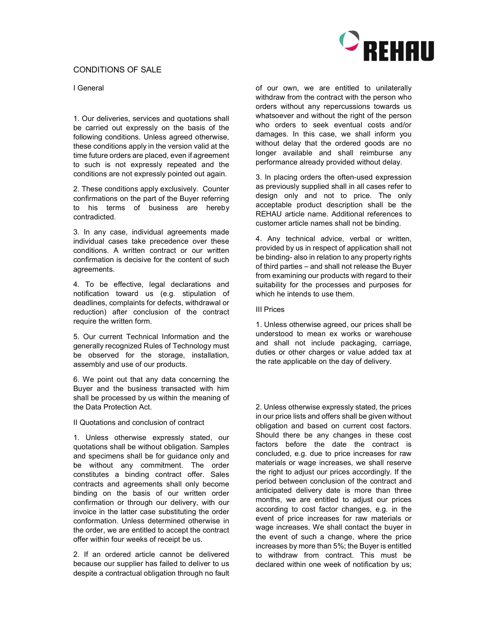

### I General

1. Our deliveries, services and quotations shall be carried out expressly on the basis of the following conditions. Unless agreed otherwise, these conditions apply in the version valid at the time future orders are placed, even if agreement to such is not expressly repeated and the conditions are not expressly pointed out again.

2. These conditions apply exclusively. Counter confirmations on the part of the Buyer referring to his terms of business are hereby contradicted.

3. In any case, individual agreements made individual cases take precedence over these conditions. A written contract or our written confirmation is decisive for the content of such agreements.

4. To be effective, legal declarations and notification toward us (e.g. stipulation of deadlines, complaints for defects, withdrawal or reduction) after conclusion of the contract require the written form.

5. Our current Technical Information and the generally recognized Rules of Technology must be observed for the storage, installation, assembly and use of our products.

6. We point out that any data concerning the Buyer and the business transacted with him shall be processed by us within the meaning of the Data Protection Act.

II Quotations and conclusion of contract

1. Unless otherwise expressly stated, our quotations shall be without obligation. Samples and specimens shall be for guidance only and be without any commitment. The order constitutes a binding contract offer. Sales contracts and agreements shall only become binding on the basis of our written order confirmation or through our delivery, with our invoice in the latter case substituting the order conformation. Unless determined otherwise in the order, we are entitled to accept the contract offer within four weeks of receipt be us.

2. If an ordered article cannot be delivered because our supplier has failed to deliver to us despite a contractual obligation through no fault of our own, we are entitled to unilaterally withdraw from the contract with the person who orders without any repercussions towards us whatsoever and without the right of the person who orders to seek eventual costs and/or damages. In this case, we shall inform you without delay that the ordered goods are no longer available and shall reimburse any performance already provided without delay.

3. In placing orders the often-used expression as previously supplied shall in all cases refer to design only and not to price. The only acceptable product description shall be the REHAU article name. Additional references to customer article names shall not be binding.

4. Any technical advice, verbal or written, provided by us in respect of application shall not be binding- also in relation to any property rights of third parties – and shall not release the Buyer from examining our products with regard to their suitability for the processes and purposes for which he intends to use them.

### III Prices

1. Unless otherwise agreed, our prices shall be understood to mean ex works or warehouse and shall not include packaging, carriage, duties or other charges or value added tax at the rate applicable on the day of delivery.

2. Unless otherwise expressly stated, the prices in our price lists and offers shall be given without obligation and based on current cost factors. Should there be any changes in these cost factors before the date the contract is concluded, e.g. due to price increases for raw materials or wage increases, we shall reserve the right to adjust our prices accordingly. If the period between conclusion of the contract and anticipated delivery date is more than three months, we are entitled to adjust our prices according to cost factor changes, e.g. in the event of price increases for raw materials or wage increases. We shall contact the buyer in the event of such a change, where the price increases by more than 5%; the Buyer is entitled to withdraw from contract. This must be declared within one week of notification by us;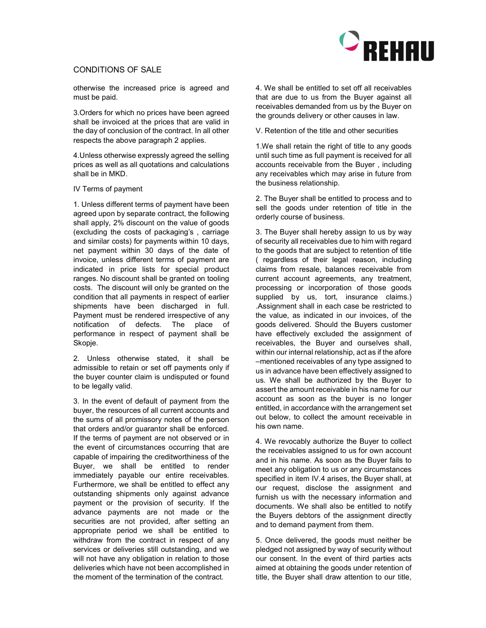

otherwise the increased price is agreed and must be paid.

3.Orders for which no prices have been agreed shall be invoiced at the prices that are valid in the day of conclusion of the contract. In all other respects the above paragraph 2 applies.

4.Unless otherwise expressly agreed the selling prices as well as all quotations and calculations shall be in MKD.

#### IV Terms of payment

1. Unless different terms of payment have been agreed upon by separate contract, the following shall apply, 2% discount on the value of goods (excluding the costs of packaging's , carriage and similar costs) for payments within 10 days, net payment within 30 days of the date of invoice, unless different terms of payment are indicated in price lists for special product ranges. No discount shall be granted on tooling costs. The discount will only be granted on the condition that all payments in respect of earlier shipments have been discharged in full. Payment must be rendered irrespective of any notification of defects. The place of performance in respect of payment shall be Skopje.

2. Unless otherwise stated, it shall be admissible to retain or set off payments only if the buyer counter claim is undisputed or found to be legally valid.

3. In the event of default of payment from the buyer, the resources of all current accounts and the sums of all promissory notes of the person that orders and/or guarantor shall be enforced. If the terms of payment are not observed or in the event of circumstances occurring that are capable of impairing the creditworthiness of the Buyer, we shall be entitled to render immediately payable our entire receivables. Furthermore, we shall be entitled to effect any outstanding shipments only against advance payment or the provision of security. If the advance payments are not made or the securities are not provided, after setting an appropriate period we shall be entitled to withdraw from the contract in respect of any services or deliveries still outstanding, and we will not have any obligation in relation to those deliveries which have not been accomplished in the moment of the termination of the contract.

4. We shall be entitled to set off all receivables that are due to us from the Buyer against all receivables demanded from us by the Buyer on the grounds delivery or other causes in law.

V. Retention of the title and other securities

1.We shall retain the right of title to any goods until such time as full payment is received for all accounts receivable from the Buyer , including any receivables which may arise in future from the business relationship.

2. The Buyer shall be entitled to process and to sell the goods under retention of title in the orderly course of business.

3. The Buyer shall hereby assign to us by way of security all receivables due to him with regard to the goods that are subject to retention of title ( regardless of their legal reason, including claims from resale, balances receivable from current account agreements, any treatment, processing or incorporation of those goods supplied by us, tort, insurance claims.) .Assignment shall in each case be restricted to the value, as indicated in our invoices, of the goods delivered. Should the Buyers customer have effectively excluded the assignment of receivables, the Buyer and ourselves shall, within our internal relationship, act as if the afore –mentioned receivables of any type assigned to us in advance have been effectively assigned to us. We shall be authorized by the Buyer to assert the amount receivable in his name for our account as soon as the buyer is no longer entitled, in accordance with the arrangement set out below, to collect the amount receivable in his own name.

4. We revocably authorize the Buyer to collect the receivables assigned to us for own account and in his name. As soon as the Buyer fails to meet any obligation to us or any circumstances specified in item IV.4 arises, the Buyer shall, at our request, disclose the assignment and furnish us with the necessary information and documents. We shall also be entitled to notify the Buyers debtors of the assignment directly and to demand payment from them.

5. Once delivered, the goods must neither be pledged not assigned by way of security without our consent. In the event of third parties acts aimed at obtaining the goods under retention of title, the Buyer shall draw attention to our title,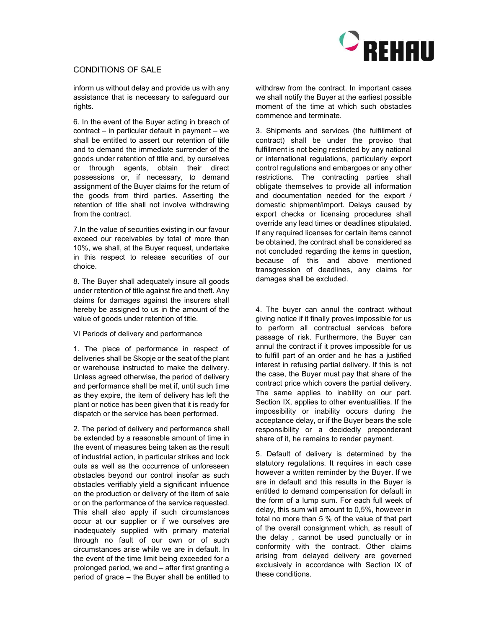

inform us without delay and provide us with any assistance that is necessary to safeguard our rights.

6. In the event of the Buyer acting in breach of contract – in particular default in payment – we shall be entitled to assert our retention of title and to demand the immediate surrender of the goods under retention of title and, by ourselves or through agents, obtain their direct possessions or, if necessary, to demand assignment of the Buyer claims for the return of the goods from third parties. Asserting the retention of title shall not involve withdrawing from the contract.

7.In the value of securities existing in our favour exceed our receivables by total of more than 10%, we shall, at the Buyer request, undertake in this respect to release securities of our choice.

8. The Buyer shall adequately insure all goods under retention of title against fire and theft. Any claims for damages against the insurers shall hereby be assigned to us in the amount of the value of goods under retention of title.

#### VI Periods of delivery and performance

1. The place of performance in respect of deliveries shall be Skopje or the seat of the plant or warehouse instructed to make the delivery. Unless agreed otherwise, the period of delivery and performance shall be met if, until such time as they expire, the item of delivery has left the plant or notice has been given that it is ready for dispatch or the service has been performed.

2. The period of delivery and performance shall be extended by a reasonable amount of time in the event of measures being taken as the result of industrial action, in particular strikes and lock outs as well as the occurrence of unforeseen obstacles beyond our control insofar as such obstacles verifiably yield a significant influence on the production or delivery of the item of sale or on the performance of the service requested. This shall also apply if such circumstances occur at our supplier or if we ourselves are inadequately supplied with primary material through no fault of our own or of such circumstances arise while we are in default. In the event of the time limit being exceeded for a prolonged period, we and – after first granting a period of grace – the Buyer shall be entitled to withdraw from the contract. In important cases we shall notify the Buyer at the earliest possible moment of the time at which such obstacles commence and terminate.

3. Shipments and services (the fulfillment of contract) shall be under the proviso that fulfillment is not being restricted by any national or international regulations, particularly export control regulations and embargoes or any other restrictions. The contracting parties shall obligate themselves to provide all information and documentation needed for the export / domestic shipment/import. Delays caused by export checks or licensing procedures shall override any lead times or deadlines stipulated. If any required licenses for certain items cannot be obtained, the contract shall be considered as not concluded regarding the items in question, because of this and above mentioned transgression of deadlines, any claims for damages shall be excluded.

4. The buyer can annul the contract without giving notice if it finally proves impossible for us to perform all contractual services before passage of risk. Furthermore, the Buyer can annul the contract if it proves impossible for us to fulfill part of an order and he has a justified interest in refusing partial delivery. If this is not the case, the Buyer must pay that share of the contract price which covers the partial delivery. The same applies to inability on our part. Section IX, applies to other eventualities. If the impossibility or inability occurs during the acceptance delay, or if the Buyer bears the sole responsibility or a decidedly preponderant share of it, he remains to render payment.

5. Default of delivery is determined by the statutory regulations. It requires in each case however a written reminder by the Buyer. If we are in default and this results in the Buyer is entitled to demand compensation for default in the form of a lump sum. For each full week of delay, this sum will amount to 0,5%, however in total no more than 5 % of the value of that part of the overall consignment which, as result of the delay , cannot be used punctually or in conformity with the contract. Other claims arising from delayed delivery are governed exclusively in accordance with Section IX of these conditions.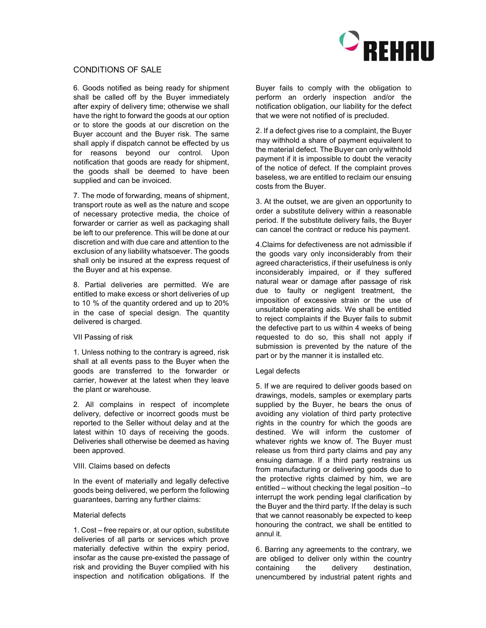

6. Goods notified as being ready for shipment shall be called off by the Buyer immediately after expiry of delivery time; otherwise we shall have the right to forward the goods at our option or to store the goods at our discretion on the Buyer account and the Buyer risk. The same shall apply if dispatch cannot be effected by us for reasons beyond our control. Upon notification that goods are ready for shipment, the goods shall be deemed to have been supplied and can be invoiced.

7. The mode of forwarding, means of shipment, transport route as well as the nature and scope of necessary protective media, the choice of forwarder or carrier as well as packaging shall be left to our preference. This will be done at our discretion and with due care and attention to the exclusion of any liability whatsoever. The goods shall only be insured at the express request of the Buyer and at his expense.

8. Partial deliveries are permitted. We are entitled to make excess or short deliveries of up to 10 % of the quantity ordered and up to 20% in the case of special design. The quantity delivered is charged.

#### VII Passing of risk

1. Unless nothing to the contrary is agreed, risk shall at all events pass to the Buyer when the goods are transferred to the forwarder or carrier, however at the latest when they leave the plant or warehouse.

2. All complains in respect of incomplete delivery, defective or incorrect goods must be reported to the Seller without delay and at the latest within 10 days of receiving the goods. Deliveries shall otherwise be deemed as having been approved.

### VIII. Claims based on defects

In the event of materially and legally defective goods being delivered, we perform the following guarantees, barring any further claims:

### Material defects

1. Cost – free repairs or, at our option, substitute deliveries of all parts or services which prove materially defective within the expiry period, insofar as the cause pre-existed the passage of risk and providing the Buyer complied with his inspection and notification obligations. If the Buyer fails to comply with the obligation to perform an orderly inspection and/or the notification obligation, our liability for the defect that we were not notified of is precluded.

2. If a defect gives rise to a complaint, the Buyer may withhold a share of payment equivalent to the material defect. The Buyer can only withhold payment if it is impossible to doubt the veracity of the notice of defect. If the complaint proves baseless, we are entitled to reclaim our ensuing costs from the Buyer.

3. At the outset, we are given an opportunity to order a substitute delivery within a reasonable period. If the substitute delivery fails, the Buyer can cancel the contract or reduce his payment.

4.Claims for defectiveness are not admissible if the goods vary only inconsiderably from their agreed characteristics, if their usefulness is only inconsiderably impaired, or if they suffered natural wear or damage after passage of risk due to faulty or negligent treatment, the imposition of excessive strain or the use of unsuitable operating aids. We shall be entitled to reject complaints if the Buyer fails to submit the defective part to us within 4 weeks of being requested to do so, this shall not apply if submission is prevented by the nature of the part or by the manner it is installed etc.

### Legal defects

5. If we are required to deliver goods based on drawings, models, samples or exemplary parts supplied by the Buyer, he bears the onus of avoiding any violation of third party protective rights in the country for which the goods are destined. We will inform the customer of whatever rights we know of. The Buyer must release us from third party claims and pay any ensuing damage. If a third party restrains us from manufacturing or delivering goods due to the protective rights claimed by him, we are entitled – without checking the legal position –to interrupt the work pending legal clarification by the Buyer and the third party. If the delay is such that we cannot reasonably be expected to keep honouring the contract, we shall be entitled to annul it.

6. Barring any agreements to the contrary, we are obliged to deliver only within the country containing the delivery destination, unencumbered by industrial patent rights and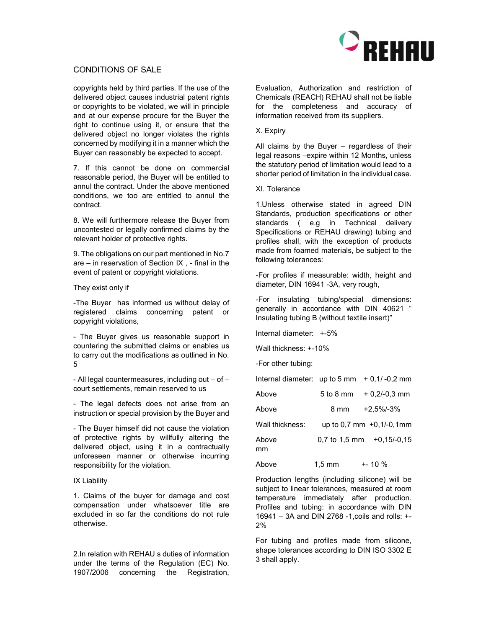

copyrights held by third parties. If the use of the delivered object causes industrial patent rights or copyrights to be violated, we will in principle and at our expense procure for the Buyer the right to continue using it, or ensure that the delivered object no longer violates the rights concerned by modifying it in a manner which the Buyer can reasonably be expected to accept.

7. If this cannot be done on commercial reasonable period, the Buyer will be entitled to annul the contract. Under the above mentioned conditions, we too are entitled to annul the contract.

8. We will furthermore release the Buyer from uncontested or legally confirmed claims by the relevant holder of protective rights.

9. The obligations on our part mentioned in No.7 are – in reservation of Section IX , - final in the event of patent or copyright violations.

#### They exist only if

-The Buyer has informed us without delay of registered claims concerning patent or copyright violations,

- The Buyer gives us reasonable support in countering the submitted claims or enables us to carry out the modifications as outlined in No. 5

- All legal countermeasures, including out – of – court settlements, remain reserved to us

- The legal defects does not arise from an instruction or special provision by the Buyer and

- The Buyer himself did not cause the violation of protective rights by willfully altering the delivered object, using it in a contractually unforeseen manner or otherwise incurring responsibility for the violation.

#### IX Liability

1. Claims of the buyer for damage and cost compensation under whatsoever title are excluded in so far the conditions do not rule otherwise.

2.In relation with REHAU s duties of information under the terms of the Regulation (EC) No. 1907/2006 concerning the Registration,

Evaluation, Authorization and restriction of Chemicals (REACH) REHAU shall not be liable for the completeness and accuracy of information received from its suppliers.

### X. Expiry

All claims by the Buyer – regardless of their legal reasons –expire within 12 Months, unless the statutory period of limitation would lead to a shorter period of limitation in the individual case.

#### XI. Tolerance

1.Unless otherwise stated in agreed DIN Standards, production specifications or other standards ( e.g in Technical delivery Specifications or REHAU drawing) tubing and profiles shall, with the exception of products made from foamed materials, be subject to the following tolerances:

-For profiles if measurable: width, height and diameter, DIN 16941 -3A, very rough,

-For insulating tubing/special dimensions: generally in accordance with DIN 40621 " Insulating tubing B (without textile insert)"

Internal diameter: +-5%

Wall thickness: +-10%

-For other tubing:

| Internal diameter: up to $5 \text{ mm} + 0.1/ -0.2 \text{ mm}$ |                  |                                             |
|----------------------------------------------------------------|------------------|---------------------------------------------|
| Above                                                          |                  | $5$ to 8 mm $+0.2/-0.3$ mm                  |
| Above                                                          |                  | 8 mm +2.5%/-3%                              |
| Wall thickness:                                                |                  | up to $0.7 \text{ mm} +0.1/-0.1 \text{ mm}$ |
| Above<br>mm                                                    |                  | $0.7$ to 1.5 mm $+0.15/-0.15$               |
| Above                                                          | $1.5 \text{ mm}$ | $+ - 10 \%$                                 |

Production lengths (including silicone) will be subject to linear tolerances, measured at room temperature immediately after production. Profiles and tubing: in accordance with DIN 16941 – 3A and DIN 2768 -1,coils and rolls: +- 2%

For tubing and profiles made from silicone, shape tolerances according to DIN ISO 3302 E 3 shall apply.